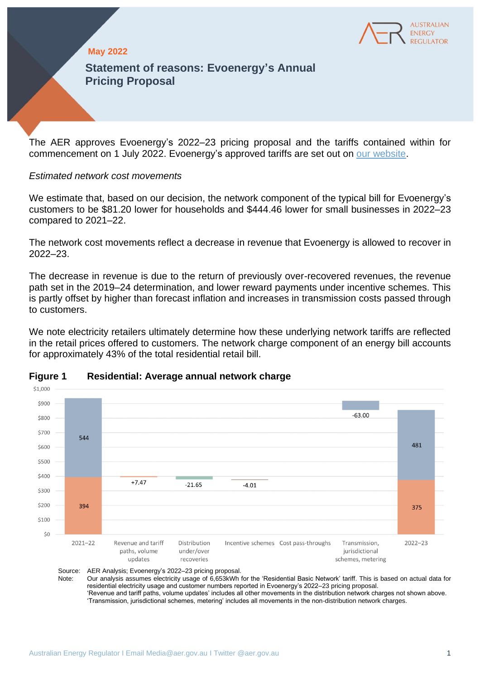

## **May 2022**

**Statement of reasons: Evoenergy's Annual Pricing Proposal**

The AER approves Evoenergy's 2022–23 pricing proposal and the tariffs contained within for commencement on 1 July 2022. Evoenergy's approved tariffs are set out on [our website.](https://www.aer.gov.au/networks-pipelines/determinations-access-arrangements/pricing-proposals-tariffs)

### *Estimated network cost movements*

We estimate that, based on our decision, the network component of the typical bill for Evoenergy's customers to be \$81.20 lower for households and \$444.46 lower for small businesses in 2022–23 compared to 2021–22.

The network cost movements reflect a decrease in revenue that Evoenergy is allowed to recover in 2022–23.

The decrease in revenue is due to the return of previously over-recovered revenues, the revenue path set in the 2019–24 determination, and lower reward payments under incentive schemes. This is partly offset by higher than forecast inflation and increases in transmission costs passed through to customers.

We note electricity retailers ultimately determine how these underlying network tariffs are reflected in the retail prices offered to customers. The network charge component of an energy bill accounts for approximately 43% of the total residential retail bill.



#### **Figure 1 Residential: Average annual network charge**

Source: AER Analysis; Evoenergy's 2022–23 pricing proposal.<br>Note: Our analysis assumes electricity usage of 6,653kWh Our analysis assumes electricity usage of 6,653kWh for the 'Residential Basic Network' tariff. This is based on actual data for residential electricity usage and customer numbers reported in Evoenergy's 2022–23 pricing proposal. 'Revenue and tariff paths, volume updates' includes all other movements in the distribution network charges not shown above. 'Transmission, jurisdictional schemes, metering' includes all movements in the non-distribution network charges.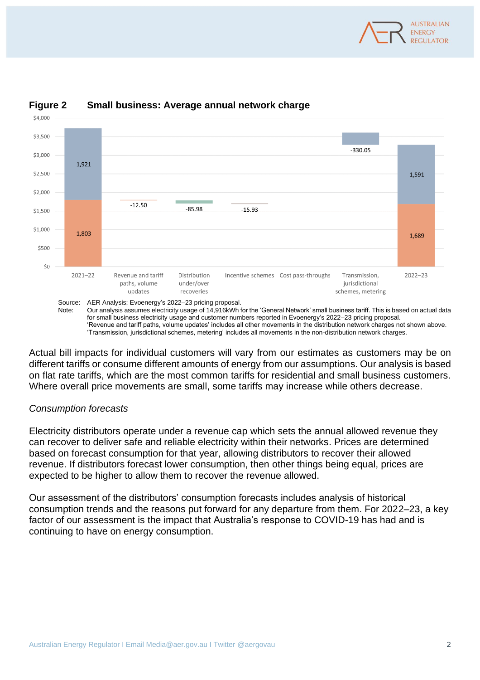



# **Figure 2 Small business: Average annual network charge**

Source: AER Analysis; Evoenergy's 2022–23 pricing proposal. Note: Our analysis assumes electricity usage of 14,916kWh for the 'General Network' small business tariff. This is based on actual data for small business electricity usage and customer numbers reported in Evoenergy's 2022–23 pricing proposal. 'Revenue and tariff paths, volume updates' includes all other movements in the distribution network charges not shown above. 'Transmission, jurisdictional schemes, metering' includes all movements in the non-distribution network charges.

Actual bill impacts for individual customers will vary from our estimates as customers may be on different tariffs or consume different amounts of energy from our assumptions. Our analysis is based on flat rate tariffs, which are the most common tariffs for residential and small business customers. Where overall price movements are small, some tariffs may increase while others decrease.

## *Consumption forecasts*

\$4,000

Electricity distributors operate under a revenue cap which sets the annual allowed revenue they can recover to deliver safe and reliable electricity within their networks. Prices are determined based on forecast consumption for that year, allowing distributors to recover their allowed revenue. If distributors forecast lower consumption, then other things being equal, prices are expected to be higher to allow them to recover the revenue allowed.

Our assessment of the distributors' consumption forecasts includes analysis of historical consumption trends and the reasons put forward for any departure from them. For 2022–23, a key factor of our assessment is the impact that Australia's response to COVID-19 has had and is continuing to have on energy consumption.